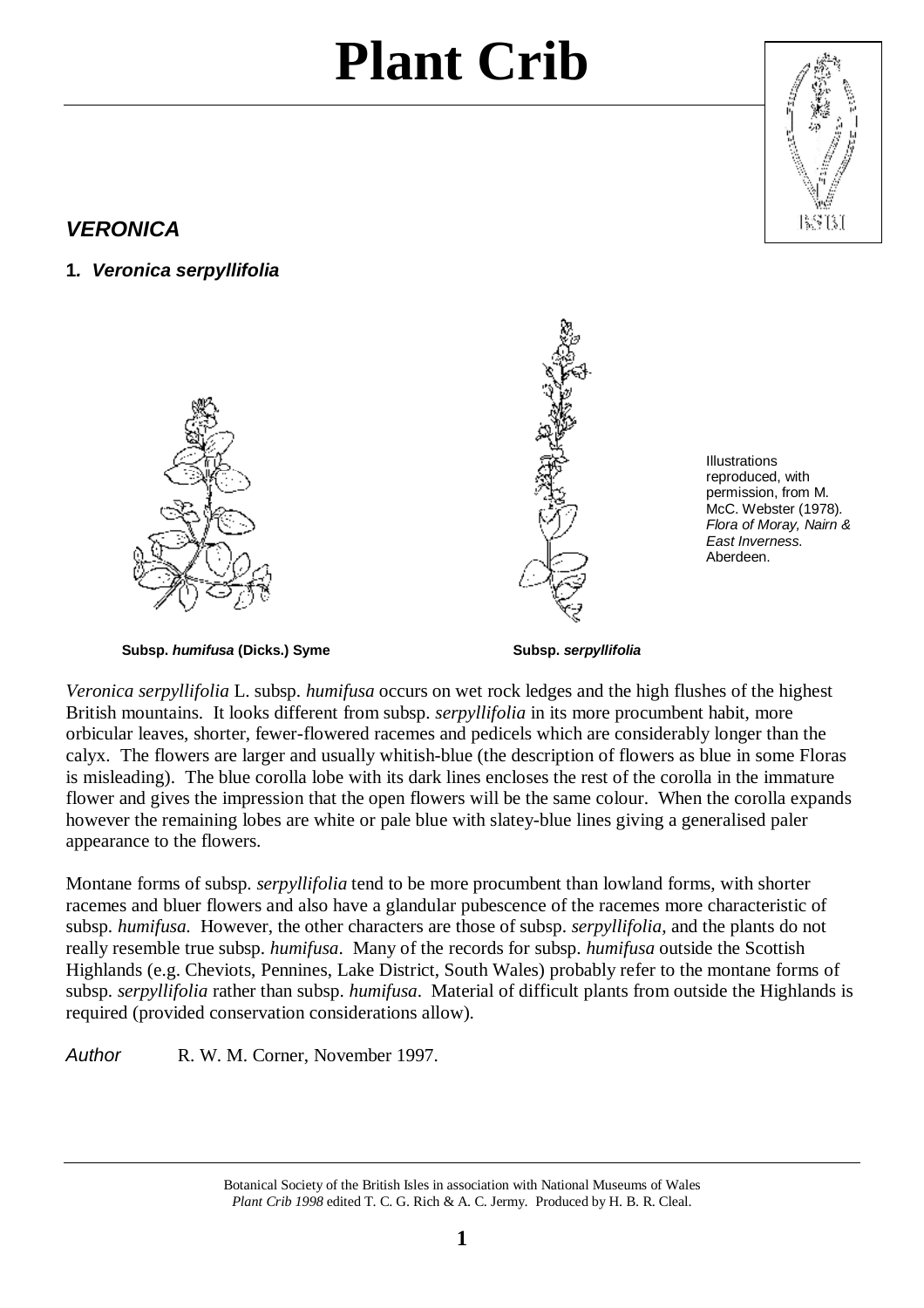

### *VERONICA*

**1***. Veronica serpyllifolia* 





Illustrations reproduced, with permission, from M. McC. Webster (1978)*. Flora of Moray, Nairn & East Inverness*. Aberdeen.

**Subsp.** *humifusa* **(Dicks.) Syme****Subsp.** *serpyllifolia*

*Veronica serpyllifolia* L. subsp. *humifusa* occurs on wet rock ledges and the high flushes of the highest British mountains. It looks different from subsp. *serpyllifolia* in its more procumbent habit, more orbicular leaves, shorter, fewer-flowered racemes and pedicels which are considerably longer than the calyx. The flowers are larger and usually whitish-blue (the description of flowers as blue in some Floras is misleading). The blue corolla lobe with its dark lines encloses the rest of the corolla in the immature flower and gives the impression that the open flowers will be the same colour. When the corolla expands however the remaining lobes are white or pale blue with slatey-blue lines giving a generalised paler appearance to the flowers.

Montane forms of subsp. *serpyllifolia* tend to be more procumbent than lowland forms, with shorter racemes and bluer flowers and also have a glandular pubescence of the racemes more characteristic of subsp. *humifusa.* However, the other characters are those of subsp. *serpyllifolia*, and the plants do not really resemble true subsp. *humifusa*. Many of the records for subsp. *humifusa* outside the Scottish Highlands (e.g. Cheviots, Pennines, Lake District, South Wales) probably refer to the montane forms of subsp. *serpyllifolia* rather than subsp. *humifusa*. Material of difficult plants from outside the Highlands is required (provided conservation considerations allow).

*Author* R. W. M. Corner, November 1997.

Botanical Society of the British Isles in association with National Museums of Wales *Plant Crib 1998* edited T. C. G. Rich & A. C. Jermy. Produced by H. B. R. Cleal.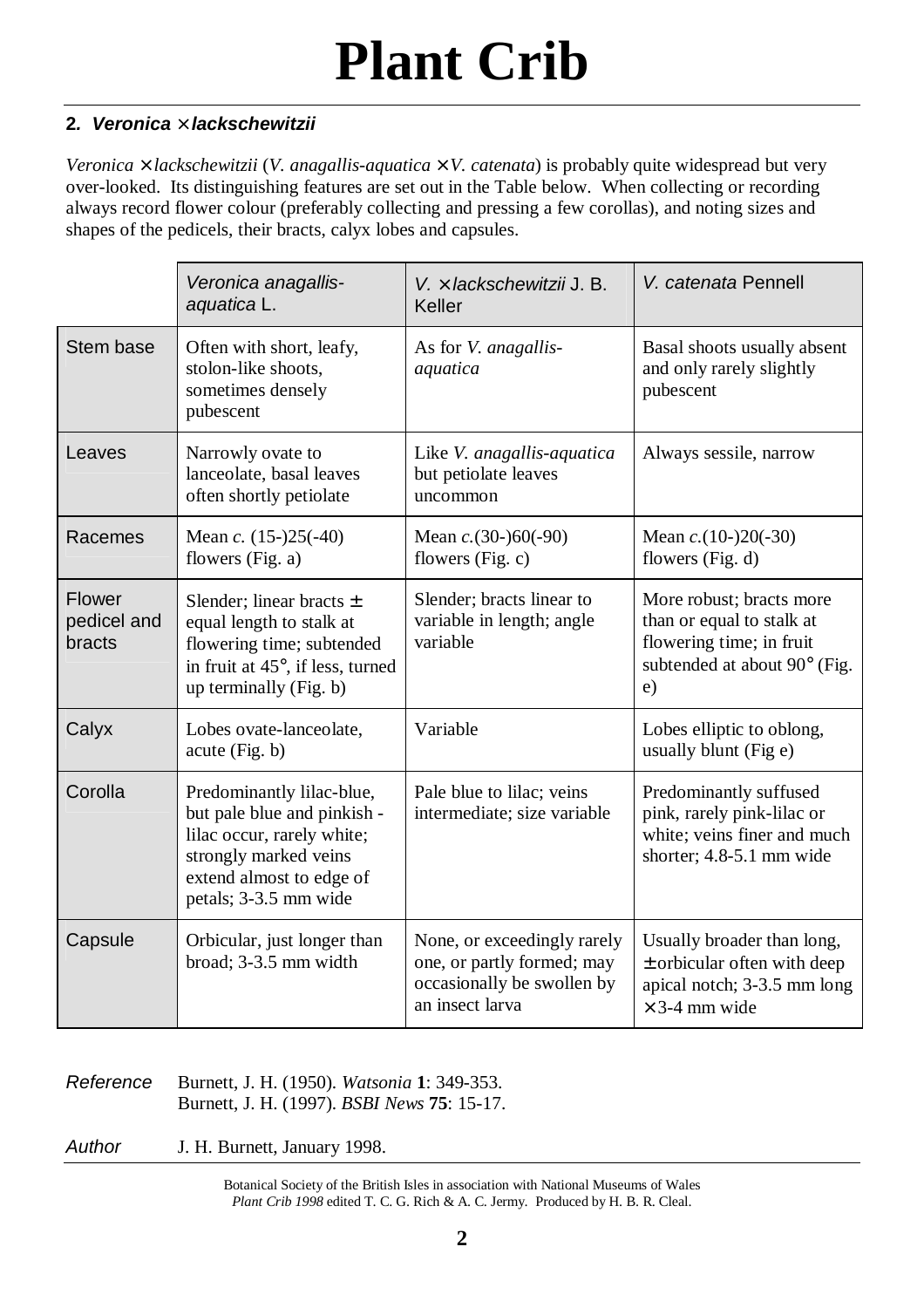#### **2***. Veronica* **´** *lackschewitzii*

*Veronica* × *lackschewitzii* (*V. anagallis-aquatica* × *V. catenata*) is probably quite widespread but very over-looked. Its distinguishing features are set out in the Table below. When collecting or recording always record flower colour (preferably collecting and pressing a few corollas), and noting sizes and shapes of the pedicels, their bracts, calyx lobes and capsules.

|                                 | Veronica anagallis-<br>aquatica L.                                                                                                                                   | $V \times$ lackschewitzij J. B.<br>Keller                                                                  | V. catenata Pennell                                                                                                     |
|---------------------------------|----------------------------------------------------------------------------------------------------------------------------------------------------------------------|------------------------------------------------------------------------------------------------------------|-------------------------------------------------------------------------------------------------------------------------|
| Stem base                       | Often with short, leafy,<br>stolon-like shoots,<br>sometimes densely<br>pubescent                                                                                    | As for V. anagallis-<br>aquatica                                                                           | Basal shoots usually absent<br>and only rarely slightly<br>pubescent                                                    |
| Leaves                          | Narrowly ovate to<br>lanceolate, basal leaves<br>often shortly petiolate                                                                                             | Like V. anagallis-aquatica<br>but petiolate leaves<br>uncommon                                             | Always sessile, narrow                                                                                                  |
| Racemes                         | Mean c. $(15-)25(-40)$<br>flowers (Fig. a)                                                                                                                           | Mean $c. (30-)60(-90)$<br>flowers (Fig. c)                                                                 | Mean $c. (10-)20(-30)$<br>flowers (Fig. d)                                                                              |
| Flower<br>pedicel and<br>bracts | Slender; linear bracts $\pm$<br>equal length to stalk at<br>flowering time; subtended<br>in fruit at 45°, if less, turned<br>up terminally (Fig. b)                  | Slender; bracts linear to<br>variable in length; angle<br>variable                                         | More robust; bracts more<br>than or equal to stalk at<br>flowering time; in fruit<br>subtended at about 90° (Fig.<br>e) |
| Calyx                           | Lobes ovate-lanceolate,<br>acute(Fig. b)                                                                                                                             | Variable                                                                                                   | Lobes elliptic to oblong,<br>usually blunt (Fig e)                                                                      |
| Corolla                         | Predominantly lilac-blue,<br>but pale blue and pinkish -<br>lilac occur, rarely white;<br>strongly marked veins<br>extend almost to edge of<br>petals; 3-3.5 mm wide | Pale blue to lilac; veins<br>intermediate; size variable                                                   | Predominantly suffused<br>pink, rarely pink-lilac or<br>white; veins finer and much<br>shorter; 4.8-5.1 mm wide         |
| Capsule                         | Orbicular, just longer than<br>broad; 3-3.5 mm width                                                                                                                 | None, or exceedingly rarely<br>one, or partly formed; may<br>occasionally be swollen by<br>an insect larva | Usually broader than long,<br>$\pm$ orbicular often with deep<br>apical notch; 3-3.5 mm long<br>$\times$ 3-4 mm wide    |

*Reference* Burnett, J. H. (1950). *Watsonia* **1**: 349-353. Burnett, J. H. (1997). *BSBI News* **75**: 15-17.

*Author* J. H. Burnett, January 1998.

Botanical Society of the British Isles in association with National Museums of Wales *Plant Crib 1998* edited T. C. G. Rich & A. C. Jermy. Produced by H. B. R. Cleal.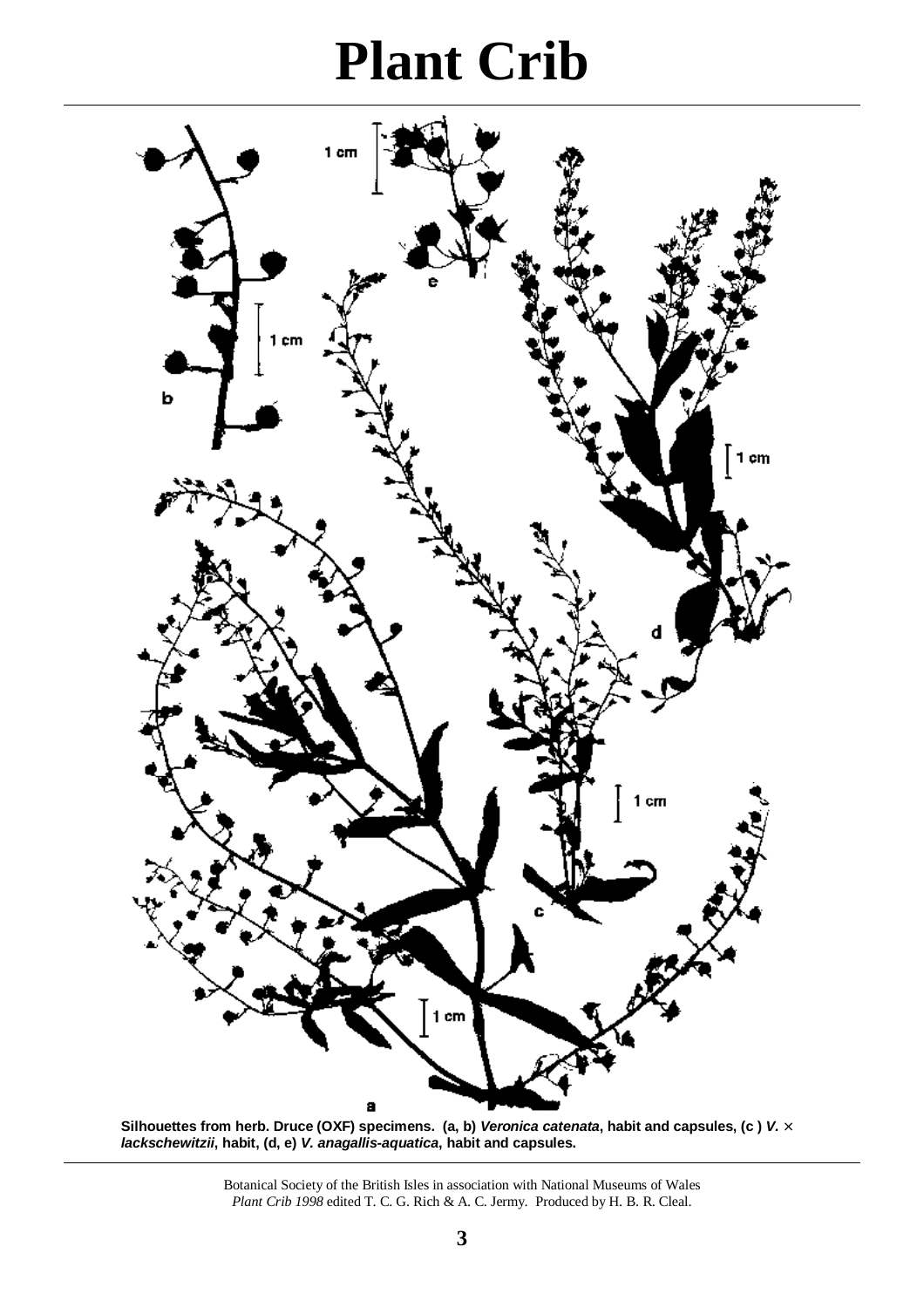

**Silhouettes from herb. Druce (OXF) specimens. (a, b)** *Veronica catenata***, habit and capsules, (c )** *V.* **´** *lackschewitzii***, habit, (d, e)** *V. anagallis-aquatica***, habit and capsules.** 

> Botanical Society of the British Isles in association with National Museums of Wales *Plant Crib 1998* edited T. C. G. Rich & A. C. Jermy. Produced by H. B. R. Cleal.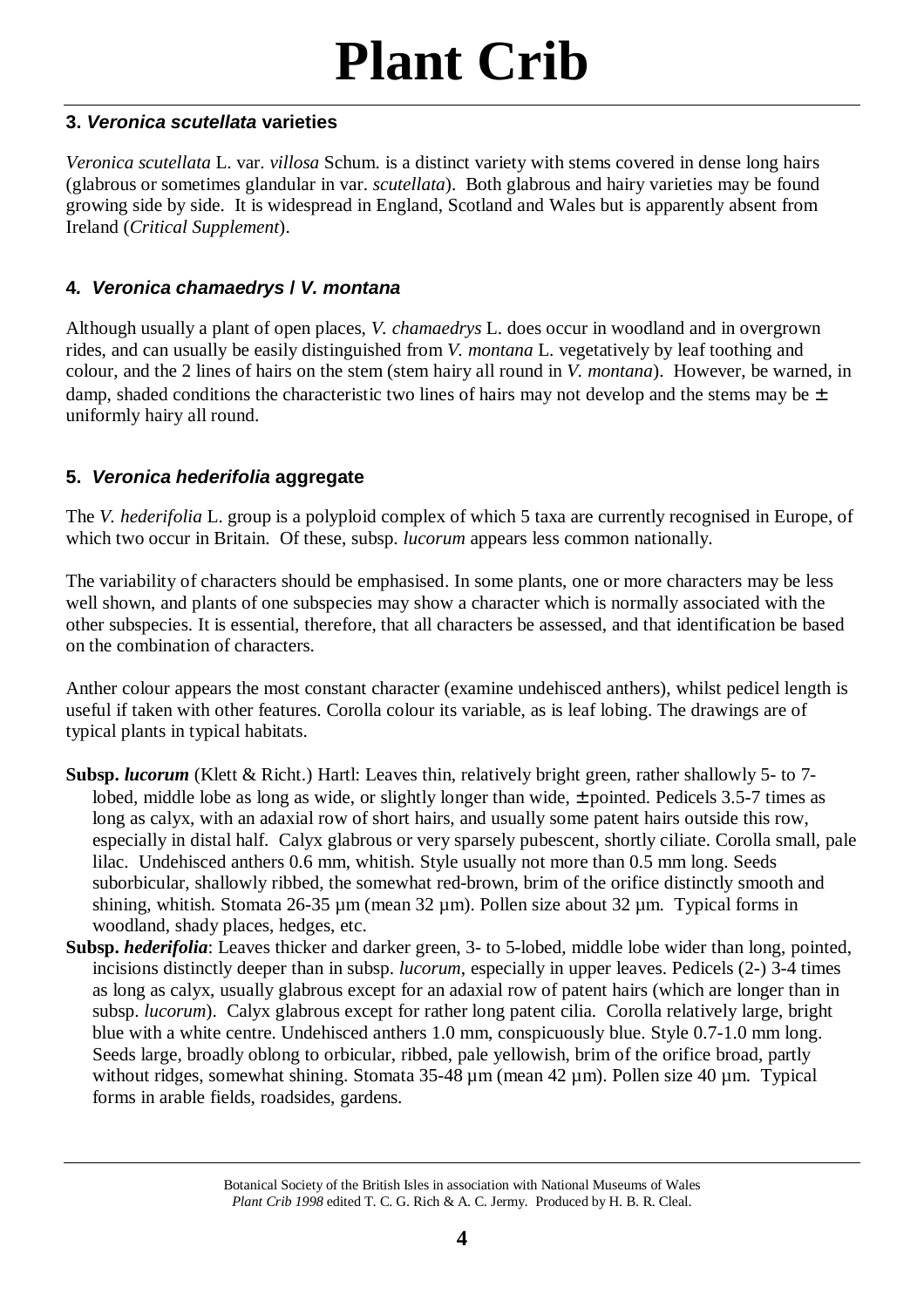#### **3.** *Veronica scutellata* **varieties**

*Veronica scutellata* L. var. *villosa* Schum. is a distinct variety with stems covered in dense long hairs (glabrous or sometimes glandular in var. *scutellata*). Both glabrous and hairy varieties may be found growing side by side. It is widespread in England, Scotland and Wales but is apparently absent from Ireland (*Critical Supplement*).

#### **4***. Veronica chamaedrys* **/** *V. montana*

Although usually a plant of open places, *V. chamaedrys* L. does occur in woodland and in overgrown rides, and can usually be easily distinguished from *V. montana* L. vegetatively by leaf toothing and colour, and the 2 lines of hairs on the stem (stem hairy all round in *V. montana*). However, be warned, in damp, shaded conditions the characteristic two lines of hairs may not develop and the stems may be  $\pm$ uniformly hairy all round.

#### **5.** *Veronica hederifolia* **aggregate**

The *V. hederifolia* L. group is a polyploid complex of which 5 taxa are currently recognised in Europe, of which two occur in Britain. Of these, subsp. *lucorum* appears less common nationally.

The variability of characters should be emphasised. In some plants, one or more characters may be less well shown, and plants of one subspecies may show a character which is normally associated with the other subspecies. It is essential, therefore, that all characters be assessed, and that identification be based on the combination of characters.

Anther colour appears the most constant character (examine undehisced anthers), whilst pedicel length is useful if taken with other features. Corolla colour its variable, as is leaf lobing. The drawings are of typical plants in typical habitats.

- **Subsp.** *lucorum* (Klett & Richt.) Hartl: Leaves thin, relatively bright green, rather shallowly 5- to 7 lobed, middle lobe as long as wide, or slightly longer than wide, ± pointed. Pedicels 3.5-7 times as long as calyx, with an adaxial row of short hairs, and usually some patent hairs outside this row, especially in distal half. Calyx glabrous or very sparsely pubescent, shortly ciliate. Corolla small, pale lilac. Undehisced anthers 0.6 mm, whitish. Style usually not more than 0.5 mm long. Seeds suborbicular, shallowly ribbed, the somewhat red-brown, brim of the orifice distinctly smooth and shining, whitish. Stomata 26-35  $\mu$ m (mean 32  $\mu$ m). Pollen size about 32  $\mu$ m. Typical forms in woodland, shady places, hedges, etc.
- **Subsp.** *hederifolia*: Leaves thicker and darker green, 3- to 5-lobed, middle lobe wider than long, pointed, incisions distinctly deeper than in subsp. *lucorum*, especially in upper leaves. Pedicels (2-) 3-4 times as long as calyx, usually glabrous except for an adaxial row of patent hairs (which are longer than in subsp. *lucorum*). Calyx glabrous except for rather long patent cilia. Corolla relatively large, bright blue with a white centre. Undehisced anthers 1.0 mm, conspicuously blue. Style 0.7-1.0 mm long. Seeds large, broadly oblong to orbicular, ribbed, pale yellowish, brim of the orifice broad, partly without ridges, somewhat shining. Stomata 35-48  $\mu$ m (mean 42  $\mu$ m). Pollen size 40  $\mu$ m. Typical forms in arable fields, roadsides, gardens.